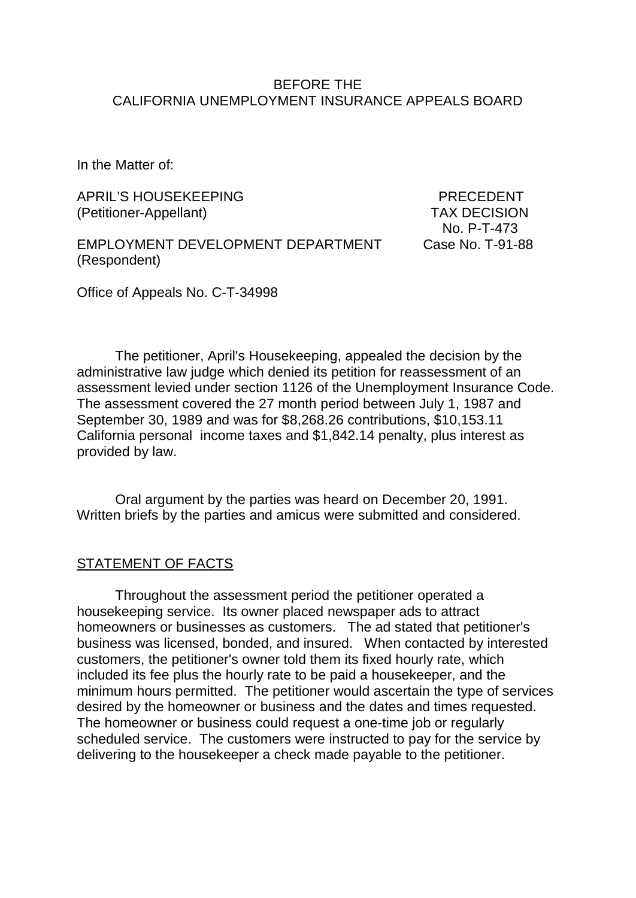#### BEFORE THE CALIFORNIA UNEMPLOYMENT INSURANCE APPEALS BOARD

In the Matter of:

APRIL'S HOUSEKEEPING PRECEDENT (Petitioner-Appellant) TAX DECISION

No. P-T-473

EMPLOYMENT DEVELOPMENT DEPARTMENT Case No. T-91-88 (Respondent)

Office of Appeals No. C-T-34998

The petitioner, April's Housekeeping, appealed the decision by the administrative law judge which denied its petition for reassessment of an assessment levied under section 1126 of the Unemployment Insurance Code. The assessment covered the 27 month period between July 1, 1987 and September 30, 1989 and was for \$8,268.26 contributions, \$10,153.11 California personal income taxes and \$1,842.14 penalty, plus interest as provided by law.

Oral argument by the parties was heard on December 20, 1991. Written briefs by the parties and amicus were submitted and considered.

#### STATEMENT OF FACTS

Throughout the assessment period the petitioner operated a housekeeping service. Its owner placed newspaper ads to attract homeowners or businesses as customers. The ad stated that petitioner's business was licensed, bonded, and insured. When contacted by interested customers, the petitioner's owner told them its fixed hourly rate, which included its fee plus the hourly rate to be paid a housekeeper, and the minimum hours permitted. The petitioner would ascertain the type of services desired by the homeowner or business and the dates and times requested. The homeowner or business could request a one-time job or regularly scheduled service. The customers were instructed to pay for the service by delivering to the housekeeper a check made payable to the petitioner.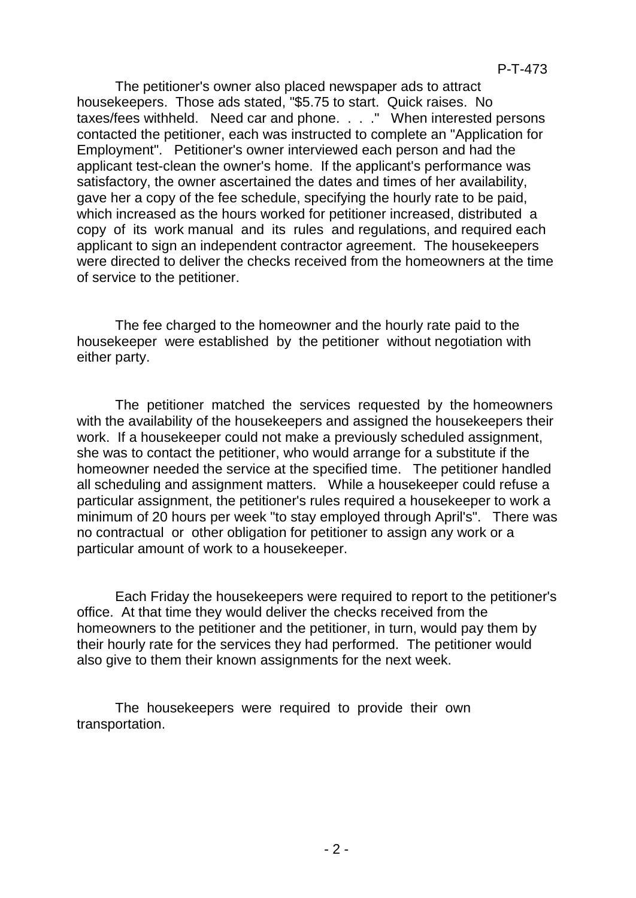The petitioner's owner also placed newspaper ads to attract housekeepers. Those ads stated, "\$5.75 to start. Quick raises. No taxes/fees withheld. Need car and phone. . . ." When interested persons contacted the petitioner, each was instructed to complete an "Application for Employment". Petitioner's owner interviewed each person and had the applicant test-clean the owner's home. If the applicant's performance was satisfactory, the owner ascertained the dates and times of her availability, gave her a copy of the fee schedule, specifying the hourly rate to be paid, which increased as the hours worked for petitioner increased, distributed a copy of its work manual and its rules and regulations, and required each applicant to sign an independent contractor agreement. The housekeepers were directed to deliver the checks received from the homeowners at the time of service to the petitioner.

The fee charged to the homeowner and the hourly rate paid to the housekeeper were established by the petitioner without negotiation with either party.

The petitioner matched the services requested by the homeowners with the availability of the housekeepers and assigned the housekeepers their work. If a housekeeper could not make a previously scheduled assignment, she was to contact the petitioner, who would arrange for a substitute if the homeowner needed the service at the specified time. The petitioner handled all scheduling and assignment matters. While a housekeeper could refuse a particular assignment, the petitioner's rules required a housekeeper to work a minimum of 20 hours per week "to stay employed through April's". There was no contractual or other obligation for petitioner to assign any work or a particular amount of work to a housekeeper.

Each Friday the housekeepers were required to report to the petitioner's office. At that time they would deliver the checks received from the homeowners to the petitioner and the petitioner, in turn, would pay them by their hourly rate for the services they had performed. The petitioner would also give to them their known assignments for the next week.

The housekeepers were required to provide their own transportation.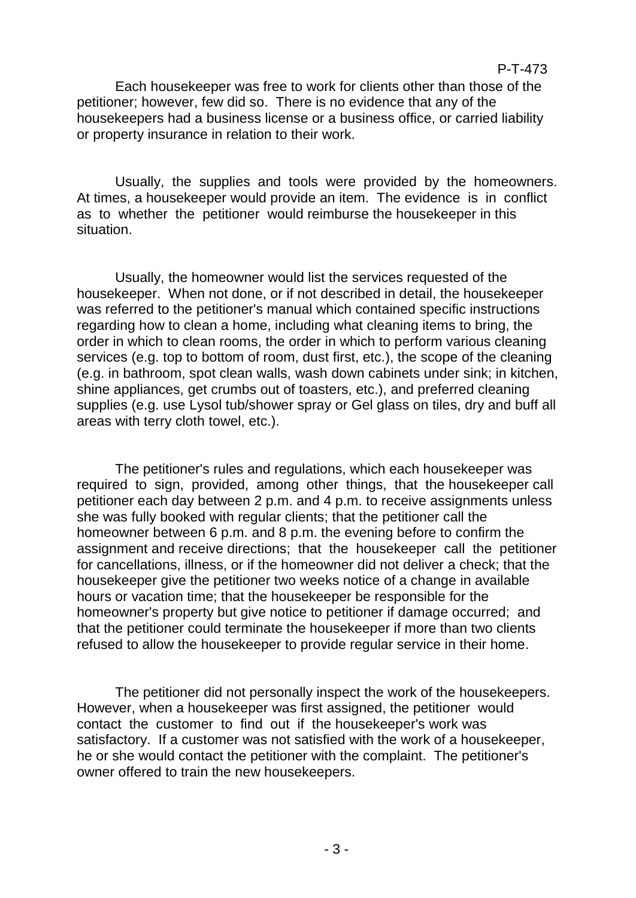Each housekeeper was free to work for clients other than those of the petitioner; however, few did so. There is no evidence that any of the housekeepers had a business license or a business office, or carried liability or property insurance in relation to their work.

Usually, the supplies and tools were provided by the homeowners. At times, a housekeeper would provide an item. The evidence is in conflict as to whether the petitioner would reimburse the housekeeper in this situation.

Usually, the homeowner would list the services requested of the housekeeper. When not done, or if not described in detail, the housekeeper was referred to the petitioner's manual which contained specific instructions regarding how to clean a home, including what cleaning items to bring, the order in which to clean rooms, the order in which to perform various cleaning services (e.g. top to bottom of room, dust first, etc.), the scope of the cleaning (e.g. in bathroom, spot clean walls, wash down cabinets under sink; in kitchen, shine appliances, get crumbs out of toasters, etc.), and preferred cleaning supplies (e.g. use Lysol tub/shower spray or Gel glass on tiles, dry and buff all areas with terry cloth towel, etc.).

The petitioner's rules and regulations, which each housekeeper was required to sign, provided, among other things, that the housekeeper call petitioner each day between 2 p.m. and 4 p.m. to receive assignments unless she was fully booked with regular clients; that the petitioner call the homeowner between 6 p.m. and 8 p.m. the evening before to confirm the assignment and receive directions; that the housekeeper call the petitioner for cancellations, illness, or if the homeowner did not deliver a check; that the housekeeper give the petitioner two weeks notice of a change in available hours or vacation time; that the housekeeper be responsible for the homeowner's property but give notice to petitioner if damage occurred; and that the petitioner could terminate the housekeeper if more than two clients refused to allow the housekeeper to provide regular service in their home.

The petitioner did not personally inspect the work of the housekeepers. However, when a housekeeper was first assigned, the petitioner would contact the customer to find out if the housekeeper's work was satisfactory. If a customer was not satisfied with the work of a housekeeper, he or she would contact the petitioner with the complaint. The petitioner's owner offered to train the new housekeepers.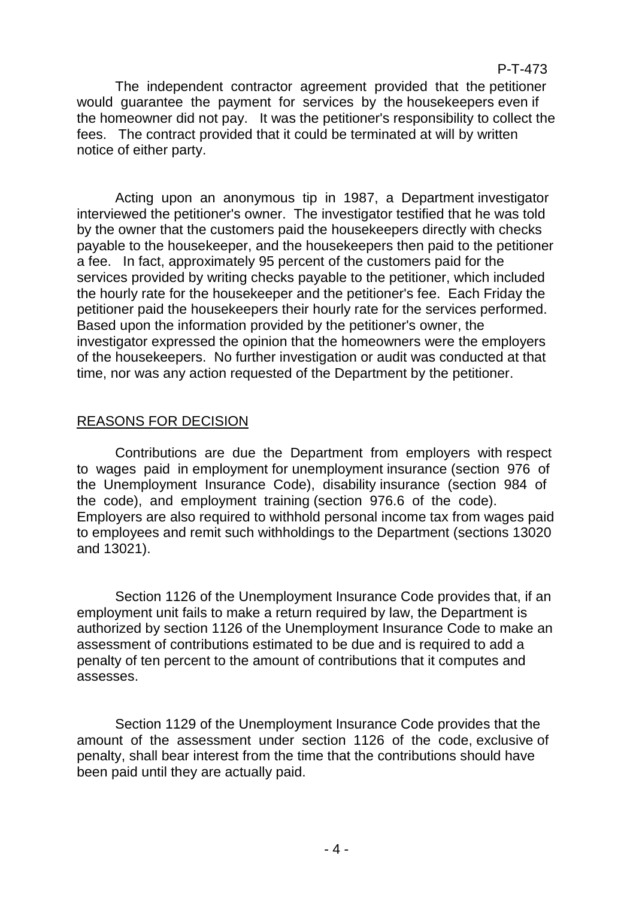### P-T-473

The independent contractor agreement provided that the petitioner would guarantee the payment for services by the housekeepers even if the homeowner did not pay. It was the petitioner's responsibility to collect the fees. The contract provided that it could be terminated at will by written notice of either party.

Acting upon an anonymous tip in 1987, a Department investigator interviewed the petitioner's owner. The investigator testified that he was told by the owner that the customers paid the housekeepers directly with checks payable to the housekeeper, and the housekeepers then paid to the petitioner a fee. In fact, approximately 95 percent of the customers paid for the services provided by writing checks payable to the petitioner, which included the hourly rate for the housekeeper and the petitioner's fee. Each Friday the petitioner paid the housekeepers their hourly rate for the services performed. Based upon the information provided by the petitioner's owner, the investigator expressed the opinion that the homeowners were the employers of the housekeepers. No further investigation or audit was conducted at that time, nor was any action requested of the Department by the petitioner.

## REASONS FOR DECISION

Contributions are due the Department from employers with respect to wages paid in employment for unemployment insurance (section 976 of the Unemployment Insurance Code), disability insurance (section 984 of the code), and employment training (section 976.6 of the code). Employers are also required to withhold personal income tax from wages paid to employees and remit such withholdings to the Department (sections 13020 and 13021).

Section 1126 of the Unemployment Insurance Code provides that, if an employment unit fails to make a return required by law, the Department is authorized by section 1126 of the Unemployment Insurance Code to make an assessment of contributions estimated to be due and is required to add a penalty of ten percent to the amount of contributions that it computes and assesses.

Section 1129 of the Unemployment Insurance Code provides that the amount of the assessment under section 1126 of the code, exclusive of penalty, shall bear interest from the time that the contributions should have been paid until they are actually paid.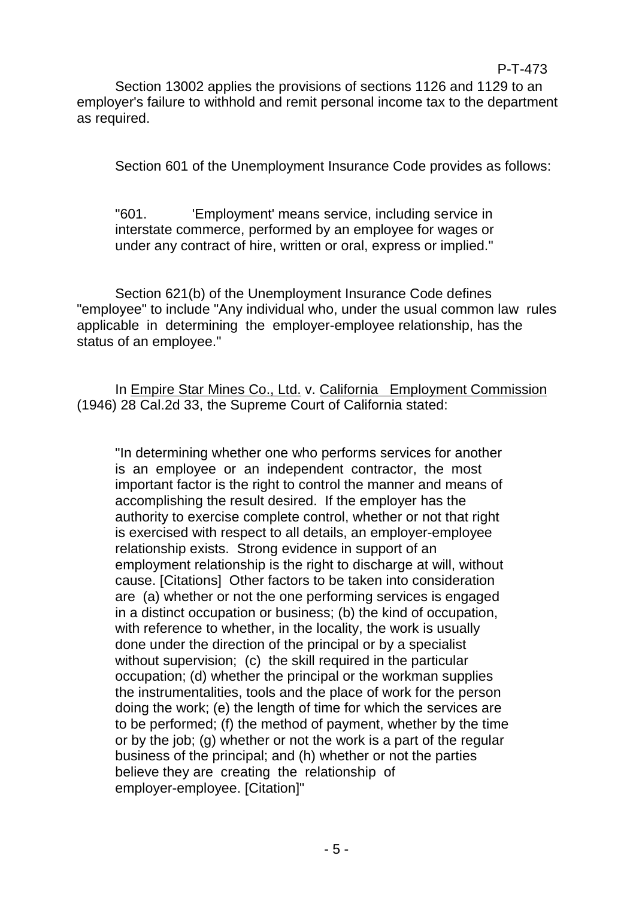Section 13002 applies the provisions of sections 1126 and 1129 to an employer's failure to withhold and remit personal income tax to the department as required.

Section 601 of the Unemployment Insurance Code provides as follows:

"601. 'Employment' means service, including service in interstate commerce, performed by an employee for wages or under any contract of hire, written or oral, express or implied."

Section 621(b) of the Unemployment Insurance Code defines "employee" to include "Any individual who, under the usual common law rules applicable in determining the employer-employee relationship, has the status of an employee."

In Empire Star Mines Co., Ltd. v. California Employment Commission (1946) 28 Cal.2d 33, the Supreme Court of California stated:

"In determining whether one who performs services for another is an employee or an independent contractor, the most important factor is the right to control the manner and means of accomplishing the result desired. If the employer has the authority to exercise complete control, whether or not that right is exercised with respect to all details, an employer-employee relationship exists. Strong evidence in support of an employment relationship is the right to discharge at will, without cause. [Citations] Other factors to be taken into consideration are (a) whether or not the one performing services is engaged in a distinct occupation or business; (b) the kind of occupation, with reference to whether, in the locality, the work is usually done under the direction of the principal or by a specialist without supervision; (c) the skill required in the particular occupation; (d) whether the principal or the workman supplies the instrumentalities, tools and the place of work for the person doing the work; (e) the length of time for which the services are to be performed; (f) the method of payment, whether by the time or by the job; (g) whether or not the work is a part of the regular business of the principal; and (h) whether or not the parties believe they are creating the relationship of employer-employee. [Citation]"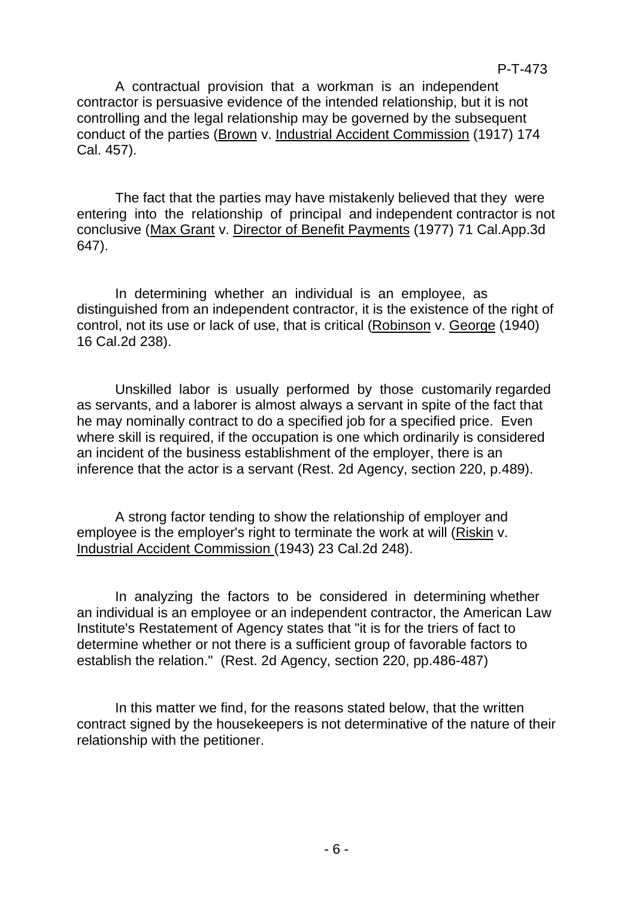A contractual provision that a workman is an independent contractor is persuasive evidence of the intended relationship, but it is not controlling and the legal relationship may be governed by the subsequent conduct of the parties (Brown v. Industrial Accident Commission (1917) 174 Cal. 457).

The fact that the parties may have mistakenly believed that they were entering into the relationship of principal and independent contractor is not conclusive (Max Grant v. Director of Benefit Payments (1977) 71 Cal.App.3d 647).

In determining whether an individual is an employee, as distinguished from an independent contractor, it is the existence of the right of control, not its use or lack of use, that is critical (Robinson v. George (1940) 16 Cal.2d 238).

Unskilled labor is usually performed by those customarily regarded as servants, and a laborer is almost always a servant in spite of the fact that he may nominally contract to do a specified job for a specified price. Even where skill is required, if the occupation is one which ordinarily is considered an incident of the business establishment of the employer, there is an inference that the actor is a servant (Rest. 2d Agency, section 220, p.489).

A strong factor tending to show the relationship of employer and employee is the employer's right to terminate the work at will (Riskin v. Industrial Accident Commission (1943) 23 Cal.2d 248).

In analyzing the factors to be considered in determining whether an individual is an employee or an independent contractor, the American Law Institute's Restatement of Agency states that "it is for the triers of fact to determine whether or not there is a sufficient group of favorable factors to establish the relation." (Rest. 2d Agency, section 220, pp.486-487)

In this matter we find, for the reasons stated below, that the written contract signed by the housekeepers is not determinative of the nature of their relationship with the petitioner.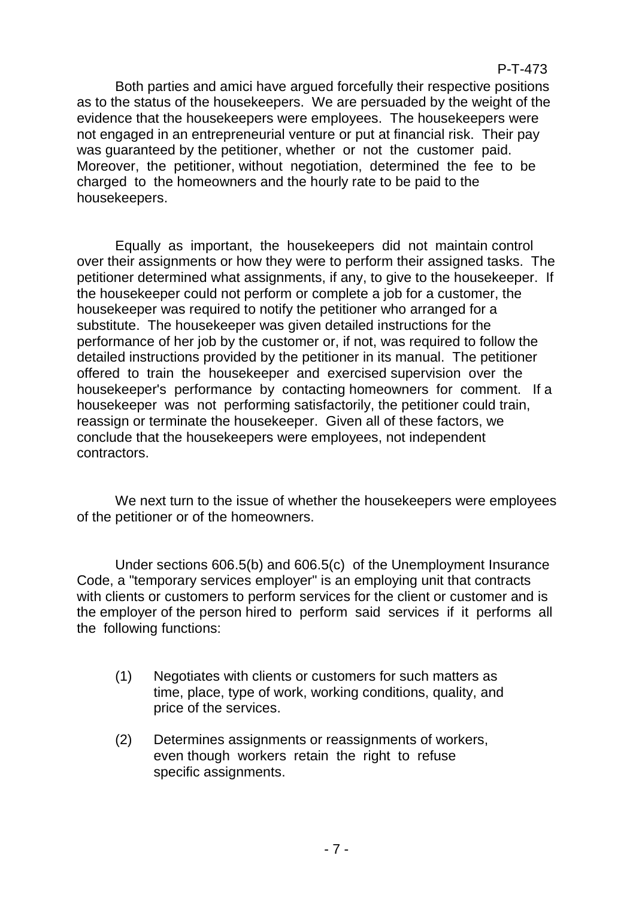### P-T-473

Both parties and amici have argued forcefully their respective positions as to the status of the housekeepers. We are persuaded by the weight of the evidence that the housekeepers were employees. The housekeepers were not engaged in an entrepreneurial venture or put at financial risk. Their pay was quaranteed by the petitioner, whether or not the customer paid. Moreover, the petitioner, without negotiation, determined the fee to be charged to the homeowners and the hourly rate to be paid to the housekeepers.

Equally as important, the housekeepers did not maintain control over their assignments or how they were to perform their assigned tasks. The petitioner determined what assignments, if any, to give to the housekeeper. If the housekeeper could not perform or complete a job for a customer, the housekeeper was required to notify the petitioner who arranged for a substitute. The housekeeper was given detailed instructions for the performance of her job by the customer or, if not, was required to follow the detailed instructions provided by the petitioner in its manual. The petitioner offered to train the housekeeper and exercised supervision over the housekeeper's performance by contacting homeowners for comment. If a housekeeper was not performing satisfactorily, the petitioner could train, reassign or terminate the housekeeper. Given all of these factors, we conclude that the housekeepers were employees, not independent contractors.

We next turn to the issue of whether the housekeepers were employees of the petitioner or of the homeowners.

Under sections 606.5(b) and 606.5(c) of the Unemployment Insurance Code, a "temporary services employer" is an employing unit that contracts with clients or customers to perform services for the client or customer and is the employer of the person hired to perform said services if it performs all the following functions:

- (1) Negotiates with clients or customers for such matters as time, place, type of work, working conditions, quality, and price of the services.
- (2) Determines assignments or reassignments of workers, even though workers retain the right to refuse specific assignments.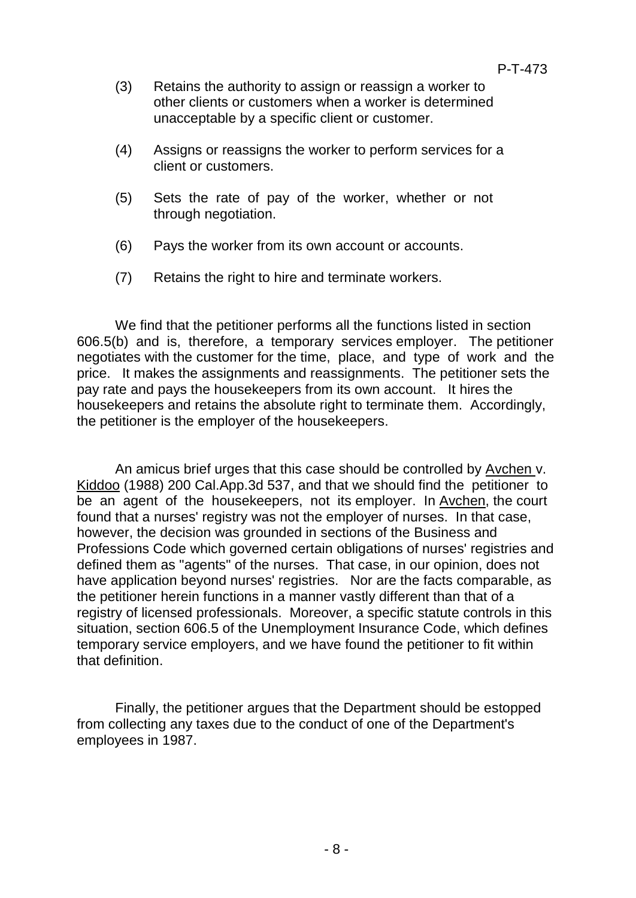- (3) Retains the authority to assign or reassign a worker to other clients or customers when a worker is determined unacceptable by a specific client or customer.
- (4) Assigns or reassigns the worker to perform services for a client or customers.
- (5) Sets the rate of pay of the worker, whether or not through negotiation.
- (6) Pays the worker from its own account or accounts.
- (7) Retains the right to hire and terminate workers.

We find that the petitioner performs all the functions listed in section 606.5(b) and is, therefore, a temporary services employer. The petitioner negotiates with the customer for the time, place, and type of work and the price. It makes the assignments and reassignments. The petitioner sets the pay rate and pays the housekeepers from its own account. It hires the housekeepers and retains the absolute right to terminate them. Accordingly, the petitioner is the employer of the housekeepers.

An amicus brief urges that this case should be controlled by Avchen v. Kiddoo (1988) 200 Cal.App.3d 537, and that we should find the petitioner to be an agent of the housekeepers, not its employer. In Avchen, the court found that a nurses' registry was not the employer of nurses. In that case, however, the decision was grounded in sections of the Business and Professions Code which governed certain obligations of nurses' registries and defined them as "agents" of the nurses. That case, in our opinion, does not have application beyond nurses' registries. Nor are the facts comparable, as the petitioner herein functions in a manner vastly different than that of a registry of licensed professionals. Moreover, a specific statute controls in this situation, section 606.5 of the Unemployment Insurance Code, which defines temporary service employers, and we have found the petitioner to fit within that definition.

Finally, the petitioner argues that the Department should be estopped from collecting any taxes due to the conduct of one of the Department's employees in 1987.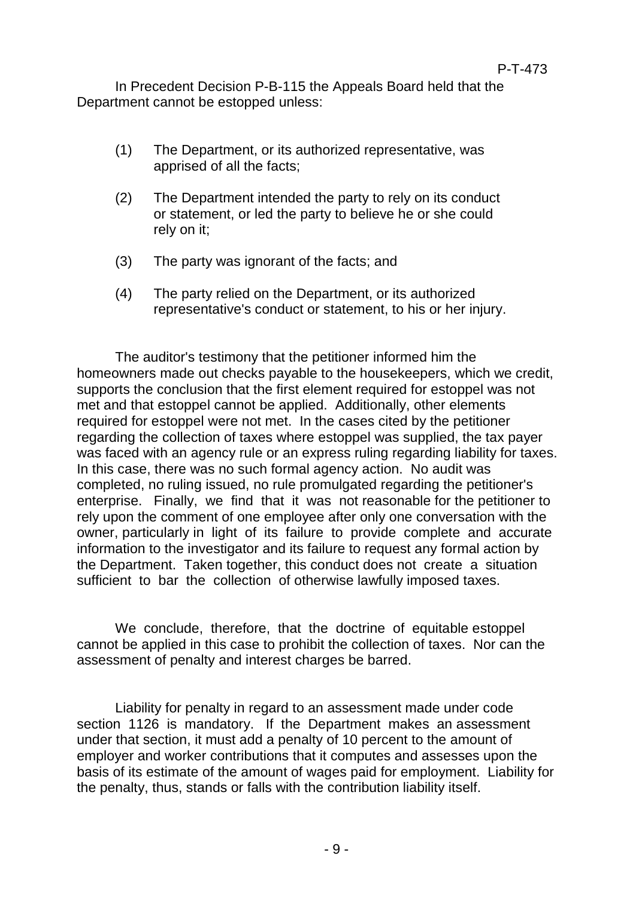In Precedent Decision P-B-115 the Appeals Board held that the Department cannot be estopped unless:

- (1) The Department, or its authorized representative, was apprised of all the facts;
- (2) The Department intended the party to rely on its conduct or statement, or led the party to believe he or she could rely on it;
- (3) The party was ignorant of the facts; and
- (4) The party relied on the Department, or its authorized representative's conduct or statement, to his or her injury.

The auditor's testimony that the petitioner informed him the homeowners made out checks payable to the housekeepers, which we credit, supports the conclusion that the first element required for estoppel was not met and that estoppel cannot be applied. Additionally, other elements required for estoppel were not met. In the cases cited by the petitioner regarding the collection of taxes where estoppel was supplied, the tax payer was faced with an agency rule or an express ruling regarding liability for taxes. In this case, there was no such formal agency action. No audit was completed, no ruling issued, no rule promulgated regarding the petitioner's enterprise. Finally, we find that it was not reasonable for the petitioner to rely upon the comment of one employee after only one conversation with the owner, particularly in light of its failure to provide complete and accurate information to the investigator and its failure to request any formal action by the Department. Taken together, this conduct does not create a situation sufficient to bar the collection of otherwise lawfully imposed taxes.

We conclude, therefore, that the doctrine of equitable estoppel cannot be applied in this case to prohibit the collection of taxes. Nor can the assessment of penalty and interest charges be barred.

Liability for penalty in regard to an assessment made under code section 1126 is mandatory. If the Department makes an assessment under that section, it must add a penalty of 10 percent to the amount of employer and worker contributions that it computes and assesses upon the basis of its estimate of the amount of wages paid for employment. Liability for the penalty, thus, stands or falls with the contribution liability itself.